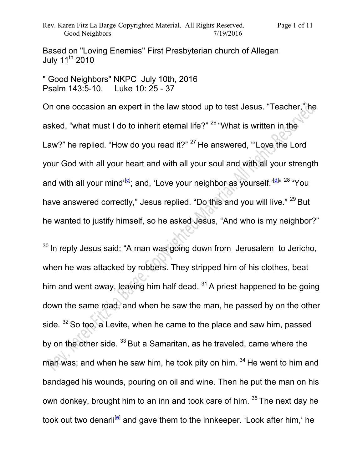Based on "Loving Enemies" First Presbyterian church of Allegan July 11<sup>th</sup> 2010

" Good Neighbors" NKPC July 10th, 2016 Psalm 143:5-10. Luke 10: 25 - 37

On one occasion an expert in the law stood up to test Jesus. "Teacher," he asked, "what must I do to inherit eternal life?" <sup>26</sup> "What is written in the Law?" he replied. "How do you read it?" <sup>27</sup>He answered, "'Love the Lord your God with all your heart and with all your soul and with all your strength and with all your mind'<sup>[c]</sup>; and, 'Love your neighbor as yourself.'<sup>[d]</sup>" <sup>28</sup> "You have answered correctly," Jesus replied. "Do this and you will live."  $^{29}$  But he wanted to justify himself, so he asked Jesus, "And who is my neighbor?"

 $30$  In reply Jesus said: "A man was going down from Jerusalem to Jericho, when he was attacked by robbers. They stripped him of his clothes, beat him and went away, leaving him half dead.  $31$  A priest happened to be going down the same road, and when he saw the man, he passed by on the other side.  $32$  So too, a Levite, when he came to the place and saw him, passed by on the other side.  $33$  But a Samaritan, as he traveled, came where the man was; and when he saw him, he took pity on him.  $34$  He went to him and bandaged his wounds, pouring on oil and wine. Then he put the man on his own donkey, brought him to an inn and took care of him. 35 The next day he took out two denarii<sup>[e]</sup> and gave them to the innkeeper. 'Look after him,' he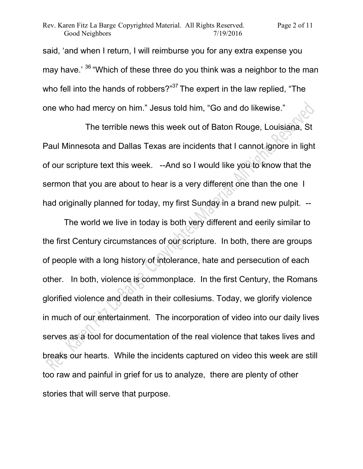said, 'and when I return, I will reimburse you for any extra expense you may have.' <sup>36</sup> "Which of these three do you think was a neighbor to the man who fell into the hands of robbers? $37$ The expert in the law replied, "The one who had mercy on him." Jesus told him, "Go and do likewise."

 The terrible news this week out of Baton Rouge, Louisiana, St Paul Minnesota and Dallas Texas are incidents that I cannot ignore in light of our scripture text this week. --And so I would like you to know that the sermon that you are about to hear is a very different one than the one I had originally planned for today, my first Sunday in a brand new pulpit. --

 The world we live in today is both very different and eerily similar to the first Century circumstances of our scripture. In both, there are groups of people with a long history of intolerance, hate and persecution of each other. In both, violence is commonplace. In the first Century, the Romans glorified violence and death in their collesiums. Today, we glorify violence in much of our entertainment. The incorporation of video into our daily lives serves as a tool for documentation of the real violence that takes lives and breaks our hearts. While the incidents captured on video this week are still too raw and painful in grief for us to analyze, there are plenty of other stories that will serve that purpose.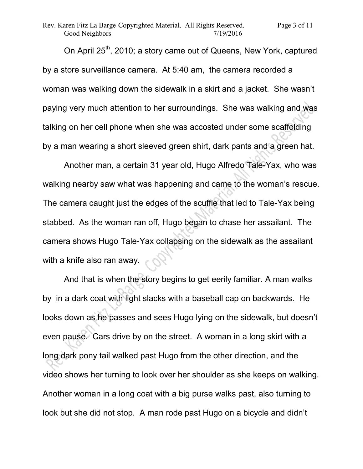On April 25<sup>th</sup>, 2010; a story came out of Queens, New York, captured by a store surveillance camera. At 5:40 am, the camera recorded a woman was walking down the sidewalk in a skirt and a jacket. She wasn't paying very much attention to her surroundings. She was walking and was talking on her cell phone when she was accosted under some scaffolding by a man wearing a short sleeved green shirt, dark pants and a green hat.

 Another man, a certain 31 year old, Hugo Alfredo Tale-Yax, who was walking nearby saw what was happening and came to the woman's rescue. The camera caught just the edges of the scuffle that led to Tale-Yax being stabbed. As the woman ran off, Hugo began to chase her assailant. The camera shows Hugo Tale-Yax collapsing on the sidewalk as the assailant with a knife also ran away.

 And that is when the story begins to get eerily familiar. A man walks by in a dark coat with light slacks with a baseball cap on backwards. He looks down as he passes and sees Hugo lying on the sidewalk, but doesn't even pause. Cars drive by on the street. A woman in a long skirt with a long dark pony tail walked past Hugo from the other direction, and the video shows her turning to look over her shoulder as she keeps on walking. Another woman in a long coat with a big purse walks past, also turning to look but she did not stop. A man rode past Hugo on a bicycle and didn't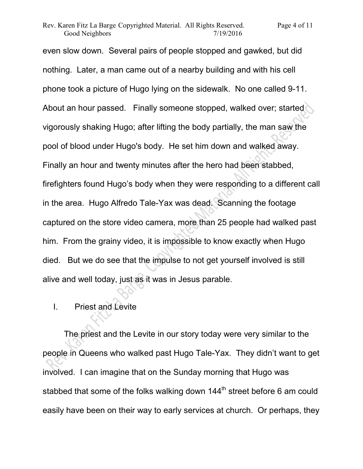even slow down. Several pairs of people stopped and gawked, but did nothing. Later, a man came out of a nearby building and with his cell phone took a picture of Hugo lying on the sidewalk. No one called 9-11. About an hour passed. Finally someone stopped, walked over; started vigorously shaking Hugo; after lifting the body partially, the man saw the pool of blood under Hugo's body. He set him down and walked away. Finally an hour and twenty minutes after the hero had been stabbed, firefighters found Hugo's body when they were responding to a different call in the area. Hugo Alfredo Tale-Yax was dead. Scanning the footage captured on the store video camera, more than 25 people had walked past him. From the grainy video, it is impossible to know exactly when Hugo died. But we do see that the impulse to not get yourself involved is still alive and well today, just as it was in Jesus parable.

## I. Priest and Levite

 The priest and the Levite in our story today were very similar to the people in Queens who walked past Hugo Tale-Yax. They didn't want to get involved. I can imagine that on the Sunday morning that Hugo was stabbed that some of the folks walking down  $144<sup>th</sup>$  street before 6 am could easily have been on their way to early services at church. Or perhaps, they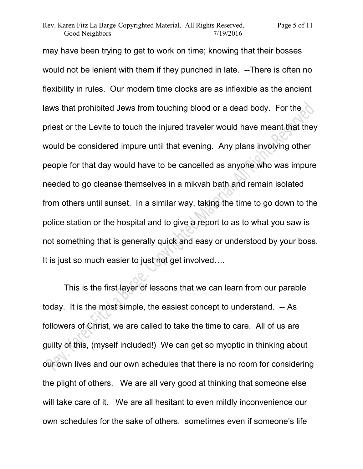may have been trying to get to work on time; knowing that their bosses would not be lenient with them if they punched in late. --There is often no flexibility in rules. Our modern time clocks are as inflexible as the ancient laws that prohibited Jews from touching blood or a dead body. For the priest or the Levite to touch the injured traveler would have meant that they would be considered impure until that evening. Any plans involving other people for that day would have to be cancelled as anyone who was impure needed to go cleanse themselves in a mikvah bath and remain isolated from others until sunset. In a similar way, taking the time to go down to the police station or the hospital and to give a report to as to what you saw is not something that is generally quick and easy or understood by your boss. It is just so much easier to just not get involved….

 This is the first layer of lessons that we can learn from our parable today. It is the most simple, the easiest concept to understand. -- As followers of Christ, we are called to take the time to care. All of us are guilty of this, (myself included!) We can get so myoptic in thinking about our own lives and our own schedules that there is no room for considering the plight of others. We are all very good at thinking that someone else will take care of it. We are all hesitant to even mildly inconvenience our own schedules for the sake of others, sometimes even if someone's life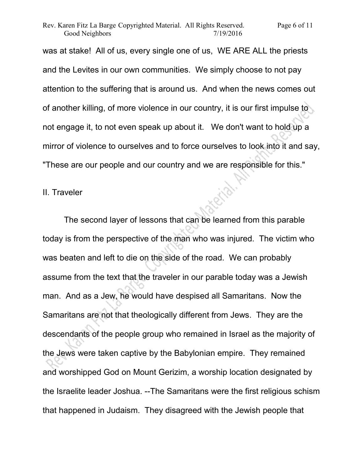was at stake! All of us, every single one of us, WE ARE ALL the priests and the Levites in our own communities. We simply choose to not pay attention to the suffering that is around us. And when the news comes out of another killing, of more violence in our country, it is our first impulse to not engage it, to not even speak up about it. We don't want to hold up a mirror of violence to ourselves and to force ourselves to look into it and say, "These are our people and our country and we are responsible for this."

Exp.

## II. Traveler

 The second layer of lessons that can be learned from this parable today is from the perspective of the man who was injured. The victim who was beaten and left to die on the side of the road. We can probably assume from the text that the traveler in our parable today was a Jewish man. And as a Jew, he would have despised all Samaritans. Now the Samaritans are not that theologically different from Jews. They are the descendants of the people group who remained in Israel as the majority of the Jews were taken captive by the Babylonian empire. They remained and worshipped God on Mount Gerizim, a worship location designated by the Israelite leader Joshua. --The Samaritans were the first religious schism that happened in Judaism. They disagreed with the Jewish people that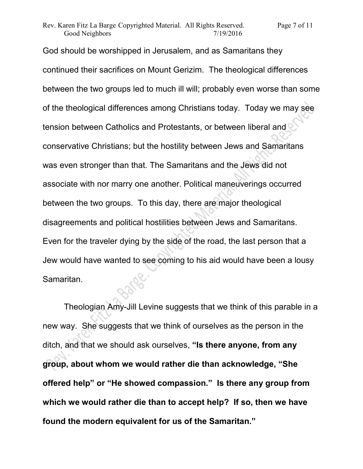God should be worshipped in Jerusalem, and as Samaritans they continued their sacrifices on Mount Gerizim. The theological differences between the two groups led to much ill will; probably even worse than some of the theological differences among Christians today. Today we may see tension between Catholics and Protestants, or between liberal and conservative Christians; but the hostility between Jews and Samaritans was even stronger than that. The Samaritans and the Jews did not associate with nor marry one another. Political maneuverings occurred between the two groups. To this day, there are major theological disagreements and political hostilities between Jews and Samaritans. Even for the traveler dying by the side of the road, the last person that a Jew would have wanted to see coming to his aid would have been a lousy Samaritan.

 Theologian Amy-Jill Levine suggests that we think of this parable in a new way. She suggests that we think of ourselves as the person in the ditch, and that we should ask ourselves, **"Is there anyone, from any group, about whom we would rather die than acknowledge, "She offered help" or "He showed compassion." Is there any group from which we would rather die than to accept help? If so, then we have found the modern equivalent for us of the Samaritan."**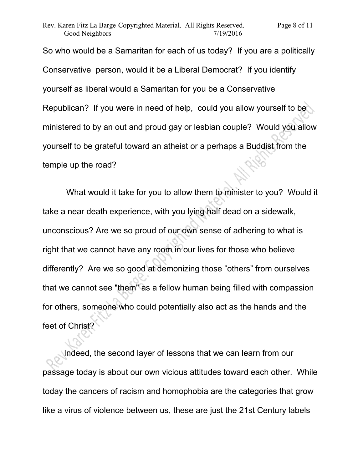So who would be a Samaritan for each of us today? If you are a politically Conservative person, would it be a Liberal Democrat? If you identify yourself as liberal would a Samaritan for you be a Conservative Republican? If you were in need of help, could you allow yourself to be ministered to by an out and proud gay or lesbian couple? Would you allow yourself to be grateful toward an atheist or a perhaps a Buddist from the temple up the road?

 What would it take for you to allow them to minister to you? Would it take a near death experience, with you lying half dead on a sidewalk, unconscious? Are we so proud of our own sense of adhering to what is right that we cannot have any room in our lives for those who believe differently? Are we so good at demonizing those "others" from ourselves that we cannot see "them" as a fellow human being filled with compassion for others, someone who could potentially also act as the hands and the feet of Christ?

Indeed, the second layer of lessons that we can learn from our passage today is about our own vicious attitudes toward each other. While today the cancers of racism and homophobia are the categories that grow like a virus of violence between us, these are just the 21st Century labels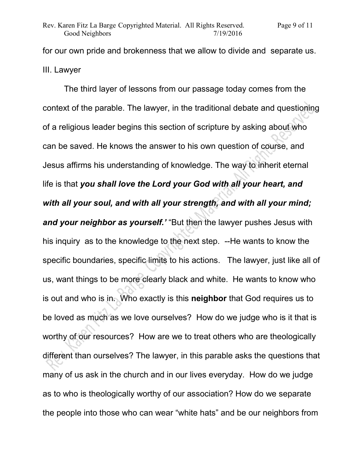for our own pride and brokenness that we allow to divide and separate us. III. Lawyer

 The third layer of lessons from our passage today comes from the context of the parable. The lawyer, in the traditional debate and questioning of a religious leader begins this section of scripture by asking about who can be saved. He knows the answer to his own question of course, and Jesus affirms his understanding of knowledge. The way to inherit eternal life is that *you shall love the Lord your God with all your heart, and with all your soul, and with all your strength, and with all your mind; and your neighbor as yourself.'* "But then the lawyer pushes Jesus with his inquiry as to the knowledge to the next step. --He wants to know the specific boundaries, specific limits to his actions. The lawyer, just like all of us, want things to be more clearly black and white. He wants to know who is out and who is in. Who exactly is this **neighbor** that God requires us to be loved as much as we love ourselves? How do we judge who is it that is worthy of our resources? How are we to treat others who are theologically different than ourselves? The lawyer, in this parable asks the questions that many of us ask in the church and in our lives everyday. How do we judge as to who is theologically worthy of our association? How do we separate the people into those who can wear "white hats" and be our neighbors from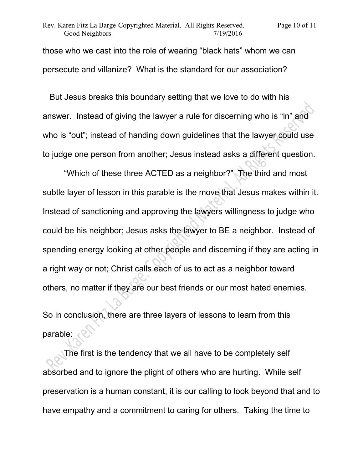those who we cast into the role of wearing "black hats" whom we can persecute and villanize? What is the standard for our association?

 But Jesus breaks this boundary setting that we love to do with his answer. Instead of giving the lawyer a rule for discerning who is "in" and who is "out"; instead of handing down guidelines that the lawyer could use to judge one person from another; Jesus instead asks a different question.

 "Which of these three ACTED as a neighbor?" The third and most subtle layer of lesson in this parable is the move that Jesus makes within it. Instead of sanctioning and approving the lawyers willingness to judge who could be his neighbor; Jesus asks the lawyer to BE a neighbor. Instead of spending energy looking at other people and discerning if they are acting in a right way or not; Christ calls each of us to act as a neighbor toward others, no matter if they are our best friends or our most hated enemies.

So in conclusion, there are three layers of lessons to learn from this parable:

 The first is the tendency that we all have to be completely self absorbed and to ignore the plight of others who are hurting. While self preservation is a human constant, it is our calling to look beyond that and to have empathy and a commitment to caring for others. Taking the time to